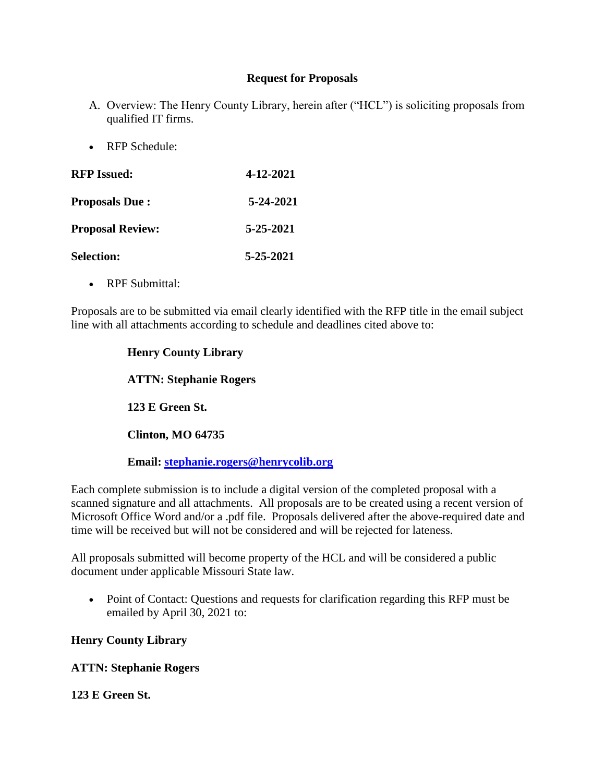#### **Request for Proposals**

- A. Overview: The Henry County Library, herein after ("HCL") is soliciting proposals from qualified IT firms.
- RFP Schedule:

| <b>RFP</b> Issued:      | 4-12-2021 |
|-------------------------|-----------|
| <b>Proposals Due:</b>   | 5-24-2021 |
| <b>Proposal Review:</b> | 5-25-2021 |
| <b>Selection:</b>       | 5-25-2021 |

• RPF Submittal:

Proposals are to be submitted via email clearly identified with the RFP title in the email subject line with all attachments according to schedule and deadlines cited above to:

# **Henry County Library ATTN: Stephanie Rogers 123 E Green St. Clinton, MO 64735 Email: [stephanie.rogers@henrycolib.org](mailto:stephanie.rogers@henrycolib.org)**

Each complete submission is to include a digital version of the completed proposal with a scanned signature and all attachments. All proposals are to be created using a recent version of Microsoft Office Word and/or a .pdf file. Proposals delivered after the above-required date and time will be received but will not be considered and will be rejected for lateness.

All proposals submitted will become property of the HCL and will be considered a public document under applicable Missouri State law.

 Point of Contact: Questions and requests for clarification regarding this RFP must be emailed by April 30, 2021 to:

# **Henry County Library**

# **ATTN: Stephanie Rogers**

#### **123 E Green St.**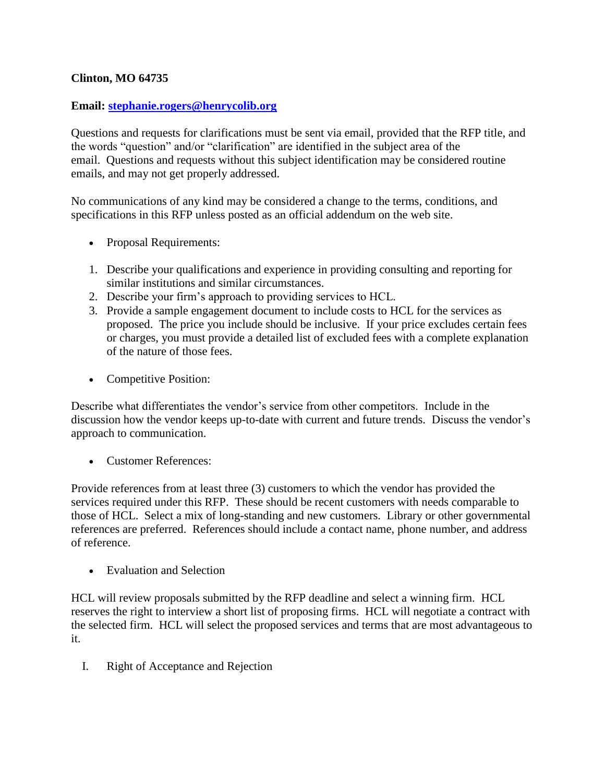# **Clinton, MO 64735**

#### **Email: [stephanie.rogers@henrycolib.org](mailto:stephanie.rogers@henrycolib.org)**

Questions and requests for clarifications must be sent via email, provided that the RFP title, and the words "question" and/or "clarification" are identified in the subject area of the email. Questions and requests without this subject identification may be considered routine emails, and may not get properly addressed.

No communications of any kind may be considered a change to the terms, conditions, and specifications in this RFP unless posted as an official addendum on the web site.

- Proposal Requirements:
- 1. Describe your qualifications and experience in providing consulting and reporting for similar institutions and similar circumstances.
- 2. Describe your firm's approach to providing services to HCL.
- 3. Provide a sample engagement document to include costs to HCL for the services as proposed. The price you include should be inclusive. If your price excludes certain fees or charges, you must provide a detailed list of excluded fees with a complete explanation of the nature of those fees.
- Competitive Position:

Describe what differentiates the vendor's service from other competitors. Include in the discussion how the vendor keeps up-to-date with current and future trends. Discuss the vendor's approach to communication.

Customer References:

Provide references from at least three (3) customers to which the vendor has provided the services required under this RFP. These should be recent customers with needs comparable to those of HCL. Select a mix of long-standing and new customers. Library or other governmental references are preferred. References should include a contact name, phone number, and address of reference.

• Evaluation and Selection

HCL will review proposals submitted by the RFP deadline and select a winning firm. HCL reserves the right to interview a short list of proposing firms. HCL will negotiate a contract with the selected firm. HCL will select the proposed services and terms that are most advantageous to it.

I. Right of Acceptance and Rejection